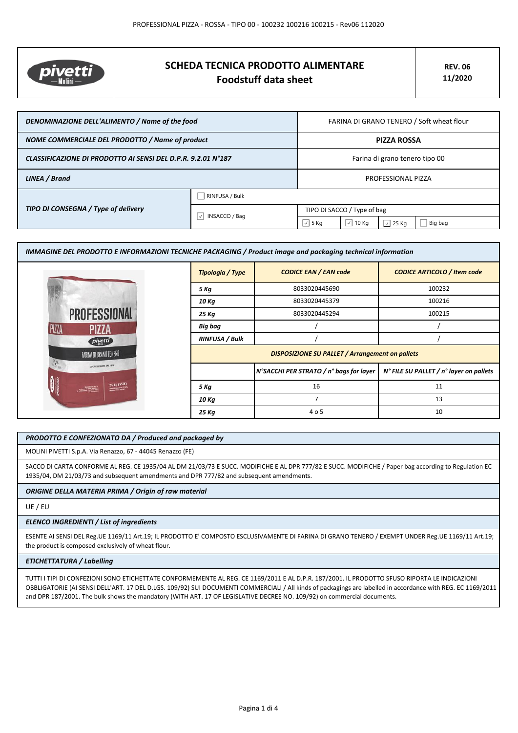

# **SCHEDA TECNICA PRODOTTO ALIMENTARE Foodstuff data sheet**

| DENOMINAZIONE DELL'ALIMENTO / Name of the food               |                                                  | FARINA DI GRANO TENERO / Soft wheat flour |                  |                |         |
|--------------------------------------------------------------|--------------------------------------------------|-------------------------------------------|------------------|----------------|---------|
| NOME COMMERCIALE DEL PRODOTTO / Name of product              |                                                  | <b>PIZZA ROSSA</b>                        |                  |                |         |
| CLASSIFICAZIONE DI PRODOTTO AI SENSI DEL D.P.R. 9.2.01 N°187 |                                                  | Farina di grano tenero tipo 00            |                  |                |         |
| LINEA / Brand                                                |                                                  | PROFESSIONAL PIZZA                        |                  |                |         |
| TIPO DI CONSEGNA / Type of delivery                          | RINFUSA / Bulk                                   |                                           |                  |                |         |
|                                                              | $\vert \downarrow \vert$<br><b>INSACCO / Bag</b> | TIPO DI SACCO / Type of bag               |                  |                |         |
|                                                              |                                                  | $\sqrt{5}$ Kg                             | $\sqrt{2}$ 10 Kg | $\sqrt{25}$ Kg | Big bag |

| IMMAGINE DEL PRODOTTO E INFORMAZIONI TECNICHE PACKAGING / Product image and packaging technical information |                                                        |                                         |                                         |  |
|-------------------------------------------------------------------------------------------------------------|--------------------------------------------------------|-----------------------------------------|-----------------------------------------|--|
|                                                                                                             | <b>Tipologia / Type</b>                                | <b>CODICE EAN / EAN code</b>            | <b>CODICE ARTICOLO / Item code</b>      |  |
|                                                                                                             | 5 Kg                                                   | 8033020445690                           | 100232                                  |  |
|                                                                                                             | 10 Kg                                                  | 8033020445379                           | 100216                                  |  |
| <b>PROFESSIONAL</b>                                                                                         | 25 Kg                                                  | 8033020445294                           | 100215                                  |  |
| PIZZA<br><b>PIZZA</b>                                                                                       | <b>Big bag</b>                                         |                                         |                                         |  |
| pivetti                                                                                                     | <b>RINFUSA / Bulk</b>                                  |                                         |                                         |  |
| FARINA DI GRANO TENERO                                                                                      | <b>DISPOSIZIONE SU PALLET / Arrangement on pallets</b> |                                         |                                         |  |
| NAMES AND TAXABLE OIL 1873.                                                                                 |                                                        | N°SACCHI PER STRATO / n° bags for layer | N° FILE SU PALLET / n° layer on pallets |  |
| 25 kg (55lb)                                                                                                | 5 Kg                                                   | 16                                      | 11                                      |  |
|                                                                                                             | 10 Kg                                                  | $\overline{7}$                          | 13                                      |  |
|                                                                                                             | 25 Kg                                                  | 4 o 5                                   | 10                                      |  |

# *PRODOTTO E CONFEZIONATO DA / Produced and packaged by*

MOLINI PIVETTI S.p.A. Via Renazzo, 67 - 44045 Renazzo (FE)

SACCO DI CARTA CONFORME AL REG. CE 1935/04 AL DM 21/03/73 E SUCC. MODIFICHE E AL DPR 777/82 E SUCC. MODIFICHE / Paper bag according to Regulation EC 1935/04, DM 21/03/73 and subsequent amendments and DPR 777/82 and subsequent amendments.

# *ORIGINE DELLA MATERIA PRIMA / Origin of raw material*

UE / EU

#### *ELENCO INGREDIENTI / List of ingredients*

ESENTE AI SENSI DEL Reg.UE 1169/11 Art.19; IL PRODOTTO E' COMPOSTO ESCLUSIVAMENTE DI FARINA DI GRANO TENERO / EXEMPT UNDER Reg.UE 1169/11 Art.19; the product is composed exclusively of wheat flour.

## *ETICHETTATURA / Labelling*

TUTTI I TIPI DI CONFEZIONI SONO ETICHETTATE CONFORMEMENTE AL REG. CE 1169/2011 E AL D.P.R. 187/2001. IL PRODOTTO SFUSO RIPORTA LE INDICAZIONI OBBLIGATORIE (AI SENSI DELL'ART. 17 DEL D.LGS. 109/92) SUI DOCUMENTI COMMERCIALI / All kinds of packagings are labelled in accordance with REG. EC 1169/2011 and DPR 187/2001. The bulk shows the mandatory (WITH ART. 17 OF LEGISLATIVE DECREE NO. 109/92) on commercial documents.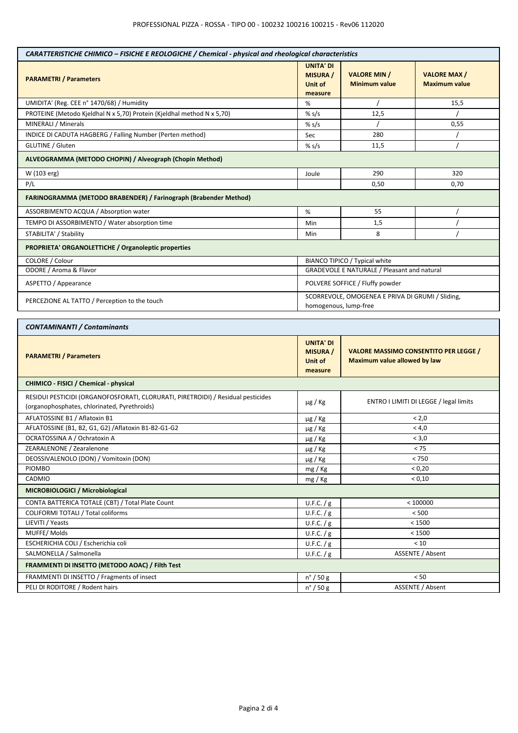| CARATTERISTICHE CHIMICO - FISICHE E REOLOGICHE / Chemical - physical and rheological characteristics                             |                                                           |                                                                                     |                                            |  |
|----------------------------------------------------------------------------------------------------------------------------------|-----------------------------------------------------------|-------------------------------------------------------------------------------------|--------------------------------------------|--|
| <b>PARAMETRI / Parameters</b>                                                                                                    | <b>UNITA' DI</b><br><b>MISURA</b> /<br>Unit of<br>measure | <b>VALORE MIN /</b><br><b>Minimum value</b>                                         | <b>VALORE MAX/</b><br><b>Maximum value</b> |  |
| UMIDITA' (Reg. CEE n° 1470/68) / Humidity                                                                                        | %                                                         |                                                                                     | 15,5                                       |  |
| PROTEINE (Metodo Kjeldhal N x 5,70) Protein (Kjeldhal method N x 5,70)                                                           | % s/s                                                     | 12,5                                                                                |                                            |  |
| MINERALI / Minerals                                                                                                              | % $s/s$                                                   |                                                                                     | 0,55                                       |  |
| INDICE DI CADUTA HAGBERG / Falling Number (Perten method)                                                                        | Sec                                                       | 280                                                                                 |                                            |  |
| <b>GLUTINE / Gluten</b>                                                                                                          | % s/s                                                     | 11,5                                                                                |                                            |  |
| ALVEOGRAMMA (METODO CHOPIN) / Alveograph (Chopin Method)                                                                         |                                                           |                                                                                     |                                            |  |
| W (103 erg)                                                                                                                      | Joule                                                     | 290<br>320                                                                          |                                            |  |
| P/L                                                                                                                              |                                                           | 0,50<br>0,70                                                                        |                                            |  |
| <b>FARINOGRAMMA (METODO BRABENDER) / Farinograph (Brabender Method)</b>                                                          |                                                           |                                                                                     |                                            |  |
| ASSORBIMENTO ACQUA / Absorption water                                                                                            | %                                                         | 55                                                                                  |                                            |  |
| TEMPO DI ASSORBIMENTO / Water absorption time                                                                                    | Min                                                       | 1,5                                                                                 |                                            |  |
| STABILITA' / Stability                                                                                                           | Min                                                       | 8                                                                                   |                                            |  |
| PROPRIETA' ORGANOLETTICHE / Organoleptic properties                                                                              |                                                           |                                                                                     |                                            |  |
| COLORE / Colour                                                                                                                  |                                                           | BIANCO TIPICO / Typical white                                                       |                                            |  |
| ODORE / Aroma & Flavor                                                                                                           |                                                           | GRADEVOLE E NATURALE / Pleasant and natural                                         |                                            |  |
| ASPETTO / Appearance                                                                                                             |                                                           | POLVERE SOFFICE / Fluffy powder                                                     |                                            |  |
| PERCEZIONE AL TATTO / Perception to the touch                                                                                    |                                                           | SCORREVOLE, OMOGENEA E PRIVA DI GRUMI / Sliding,<br>homogenous, lump-free           |                                            |  |
| <b>CONTAMINANTI / Contaminants</b>                                                                                               |                                                           |                                                                                     |                                            |  |
| <b>PARAMETRI / Parameters</b>                                                                                                    | <b>UNITA' DI</b><br><b>MISURA</b> /<br>Unit of<br>measure | <b>VALORE MASSIMO CONSENTITO PER LEGGE /</b><br><b>Maximum value allowed by law</b> |                                            |  |
| CHIMICO - FISICI / Chemical - physical                                                                                           |                                                           |                                                                                     |                                            |  |
| RESIDUI PESTICIDI (ORGANOFOSFORATI, CLORURATI, PIRETROIDI) / Residual pesticides<br>(organophosphates, chlorinated, Pyrethroids) | $\mu$ g / Kg                                              | ENTRO I LIMITI DI LEGGE / legal limits                                              |                                            |  |
| AFLATOSSINE B1 / Aflatoxin B1                                                                                                    | $\mu$ g / Kg                                              | < 2,0                                                                               |                                            |  |
| AFLATOSSINE (B1, B2, G1, G2) / Aflatoxin B1-B2-G1-G2                                                                             | µg / Kg                                                   | < 4,0                                                                               |                                            |  |
| OCRATOSSINA A / Ochratoxin A                                                                                                     | µg / Kg                                                   | < 3,0                                                                               |                                            |  |
| ZEARALENONE / Zearalenone                                                                                                        | µg / Kg                                                   | < 75                                                                                |                                            |  |
| DEOSSIVALENOLO (DON) / Vomitoxin (DON)                                                                                           | µg / Kg                                                   | $< 750$                                                                             |                                            |  |
| <b>PIOMBO</b>                                                                                                                    | mg / Kg                                                   | < 0,20                                                                              |                                            |  |
| CADMIO                                                                                                                           | mg / Kg                                                   | < 0,10                                                                              |                                            |  |
| MICROBIOLOGICI / Microbiological                                                                                                 |                                                           |                                                                                     |                                            |  |
| CONTA BATTERICA TOTALE (CBT) / Total Plate Count                                                                                 | U.F.C. / g                                                |                                                                                     | < 100000                                   |  |
| COLIFORMI TOTALI / Total coliforms                                                                                               | U.F.C. / g                                                | < 500                                                                               |                                            |  |
| LIEVITI / Yeasts                                                                                                                 | U.F.C. $/g$                                               | < 1500                                                                              |                                            |  |
| MUFFE/Molds                                                                                                                      | U.F.C. $/g$                                               | < 1500                                                                              |                                            |  |
| ESCHERICHIA COLI / Escherichia coli                                                                                              | U.F.C. $/g$                                               | < 10                                                                                |                                            |  |
| SALMONELLA / Salmonella                                                                                                          | U.F.C. $/g$                                               | ASSENTE / Absent                                                                    |                                            |  |
| FRAMMENTI DI INSETTO (METODO AOAC) / Filth Test                                                                                  |                                                           |                                                                                     |                                            |  |
| FRAMMENTI DI INSETTO / Fragments of insect                                                                                       | $n^{\circ}$ / 50 g                                        | < 50                                                                                |                                            |  |
| PELI DI RODITORE / Rodent hairs                                                                                                  | $n^{\circ}$ / 50 g                                        | ASSENTE / Absent                                                                    |                                            |  |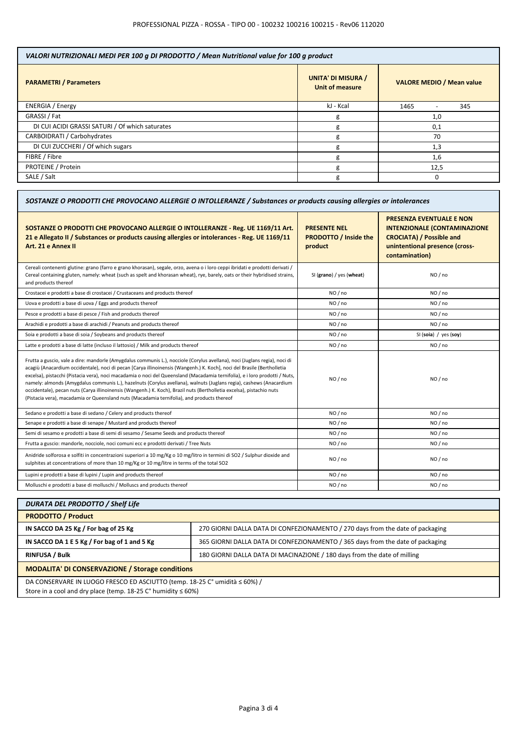| VALORI NUTRIZIONALI MEDI PER 100 g DI PRODOTTO / Mean Nutritional value for 100 g product |                                                     |                                  |  |
|-------------------------------------------------------------------------------------------|-----------------------------------------------------|----------------------------------|--|
| <b>PARAMETRI / Parameters</b>                                                             | <b>UNITA' DI MISURA /</b><br><b>Unit of measure</b> | <b>VALORE MEDIO / Mean value</b> |  |
| <b>ENERGIA</b> / Energy                                                                   | kJ - Kcal                                           | 1465<br>345                      |  |
| GRASSI / Fat                                                                              | g                                                   | 1,0                              |  |
| DI CUI ACIDI GRASSI SATURI / Of which saturates                                           | g                                                   | 0,1                              |  |
| CARBOIDRATI / Carbohydrates                                                               | g                                                   | 70                               |  |
| DI CUI ZUCCHERI / Of which sugars                                                         | g                                                   | 1,3                              |  |
| FIBRE / Fibre                                                                             | g                                                   | 1,6                              |  |
| PROTEINE / Protein                                                                        | g                                                   | 12,5                             |  |
| SALE / Salt                                                                               | g                                                   | $\Omega$                         |  |

| SOSTANZE O PRODOTTI CHE PROVOCANO ALLERGIE O INTOLLERANZE / Substances or products causing allergies or intolerances                                                                                                                                                                                                                                                                                                                                                                                                                                                                                                                                                                                                               |                                                                |                                                                                                                                                               |  |
|------------------------------------------------------------------------------------------------------------------------------------------------------------------------------------------------------------------------------------------------------------------------------------------------------------------------------------------------------------------------------------------------------------------------------------------------------------------------------------------------------------------------------------------------------------------------------------------------------------------------------------------------------------------------------------------------------------------------------------|----------------------------------------------------------------|---------------------------------------------------------------------------------------------------------------------------------------------------------------|--|
| SOSTANZE O PRODOTTI CHE PROVOCANO ALLERGIE O INTOLLERANZE - Reg. UE 1169/11 Art.<br>21 e Allegato II / Substances or products causing allergies or intolerances - Reg. UE 1169/11<br>Art. 21 e Annex II                                                                                                                                                                                                                                                                                                                                                                                                                                                                                                                            | <b>PRESENTE NEL</b><br><b>PRODOTTO / Inside the</b><br>product | <b>PRESENZA EVENTUALE E NON</b><br><b>INTENZIONALE (CONTAMINAZIONE</b><br><b>CROCIATA) / Possible and</b><br>unintentional presence (cross-<br>contamination) |  |
| Cereali contenenti glutine: grano (farro e grano khorasan), segale, orzo, avena o i loro ceppi ibridati e prodotti derivati /<br>Cereal containing gluten, namely: wheat (such as spelt and khorasan wheat), rye, barely, oats or their hybridised strains,<br>and products thereof                                                                                                                                                                                                                                                                                                                                                                                                                                                | SI (grano) / yes (wheat)                                       | NO / no                                                                                                                                                       |  |
| Crostacei e prodotti a base di crostacei / Crustaceans and products thereof                                                                                                                                                                                                                                                                                                                                                                                                                                                                                                                                                                                                                                                        | NO / no                                                        | NO / no                                                                                                                                                       |  |
| Uova e prodotti a base di uova / Eggs and products thereof                                                                                                                                                                                                                                                                                                                                                                                                                                                                                                                                                                                                                                                                         | NO/no                                                          | NO / no                                                                                                                                                       |  |
| Pesce e prodotti a base di pesce / Fish and products thereof                                                                                                                                                                                                                                                                                                                                                                                                                                                                                                                                                                                                                                                                       | NO / no                                                        | NO / no                                                                                                                                                       |  |
| Arachidi e prodotti a base di arachidi / Peanuts and products thereof                                                                                                                                                                                                                                                                                                                                                                                                                                                                                                                                                                                                                                                              | NO / no                                                        | NO / no                                                                                                                                                       |  |
| Soia e prodotti a base di soia / Soybeans and products thereof                                                                                                                                                                                                                                                                                                                                                                                                                                                                                                                                                                                                                                                                     | NO/no                                                          | SI (soia) / yes (soy)                                                                                                                                         |  |
| Latte e prodotti a base di latte (incluso il lattosio) / Milk and products thereof                                                                                                                                                                                                                                                                                                                                                                                                                                                                                                                                                                                                                                                 | NO / no                                                        | NO / no                                                                                                                                                       |  |
| Frutta a guscio, vale a dire: mandorle (Amygdalus communis L.), nocciole (Corylus avellana), noci (Juglans regia), noci di<br>acagiù (Anacardium occidentale), noci di pecan [Carya illinoinensis (Wangenh.) K. Koch], noci del Brasile (Bertholletia<br>excelsa), pistacchi (Pistacia vera), noci macadamia o noci del Queensland (Macadamia ternifolia), e i loro prodotti / Nuts,<br>namely: almonds (Amygdalus communis L.), hazelnuts (Corylus avellana), walnuts (Juglans regia), cashews (Anacardium<br>occidentale), pecan nuts (Carya illinoinensis (Wangenh.) K. Koch), Brazil nuts (Bertholletia excelsa), pistachio nuts<br>(Pistacia vera), macadamia or Queensland nuts (Macadamia ternifolia), and products thereof | NO / no                                                        | NO / no                                                                                                                                                       |  |
| Sedano e prodotti a base di sedano / Celery and products thereof                                                                                                                                                                                                                                                                                                                                                                                                                                                                                                                                                                                                                                                                   | NO / no                                                        | NO / no                                                                                                                                                       |  |
| Senape e prodotti a base di senape / Mustard and products thereof                                                                                                                                                                                                                                                                                                                                                                                                                                                                                                                                                                                                                                                                  | NO / no                                                        | NO / no                                                                                                                                                       |  |
| Semi di sesamo e prodotti a base di semi di sesamo / Sesame Seeds and products thereof                                                                                                                                                                                                                                                                                                                                                                                                                                                                                                                                                                                                                                             | NO/no                                                          | NO / no                                                                                                                                                       |  |
| Frutta a guscio: mandorle, nocciole, noci comuni ecc e prodotti derivati / Tree Nuts                                                                                                                                                                                                                                                                                                                                                                                                                                                                                                                                                                                                                                               | NO/no                                                          | NO / no                                                                                                                                                       |  |
| Anidride solforosa e solfiti in concentrazioni superiori a 10 mg/Kg o 10 mg/litro in termini di SO2 / Sulphur dioxide and<br>sulphites at concentrations of more than 10 mg/Kg or 10 mg/litre in terms of the total SO2                                                                                                                                                                                                                                                                                                                                                                                                                                                                                                            | NO / no                                                        | NO / no                                                                                                                                                       |  |
| Lupini e prodotti a base di lupini / Lupin and products thereof                                                                                                                                                                                                                                                                                                                                                                                                                                                                                                                                                                                                                                                                    | NO / no                                                        | NO / no                                                                                                                                                       |  |
| Molluschi e prodotti a base di molluschi / Molluscs and products thereof                                                                                                                                                                                                                                                                                                                                                                                                                                                                                                                                                                                                                                                           | NO / no                                                        | NO / no                                                                                                                                                       |  |

| <b>DURATA DEL PRODOTTO / Shelf Life</b>                                                                                                              |                                                                                |  |
|------------------------------------------------------------------------------------------------------------------------------------------------------|--------------------------------------------------------------------------------|--|
| <b>PRODOTTO / Product</b>                                                                                                                            |                                                                                |  |
| IN SACCO DA 25 Kg / For bag of 25 Kg                                                                                                                 | 270 GIORNI DALLA DATA DI CONFEZIONAMENTO / 270 days from the date of packaging |  |
| IN SACCO DA 1 E 5 Kg / For bag of 1 and 5 Kg                                                                                                         | 365 GIORNI DALLA DATA DI CONFEZIONAMENTO / 365 days from the date of packaging |  |
| <b>RINFUSA / Bulk</b>                                                                                                                                | 180 GIORNI DALLA DATA DI MACINAZIONE / 180 days from the date of milling       |  |
| <b>MODALITA' DI CONSERVAZIONE / Storage conditions</b>                                                                                               |                                                                                |  |
| DA CONSERVARE IN LUOGO FRESCO ED ASCIUTTO (temp. 18-25 C° umidità ≤ 60%) /<br>Store in a cool and dry place (temp. $18-25$ C° humidity $\leq 60\%$ ) |                                                                                |  |